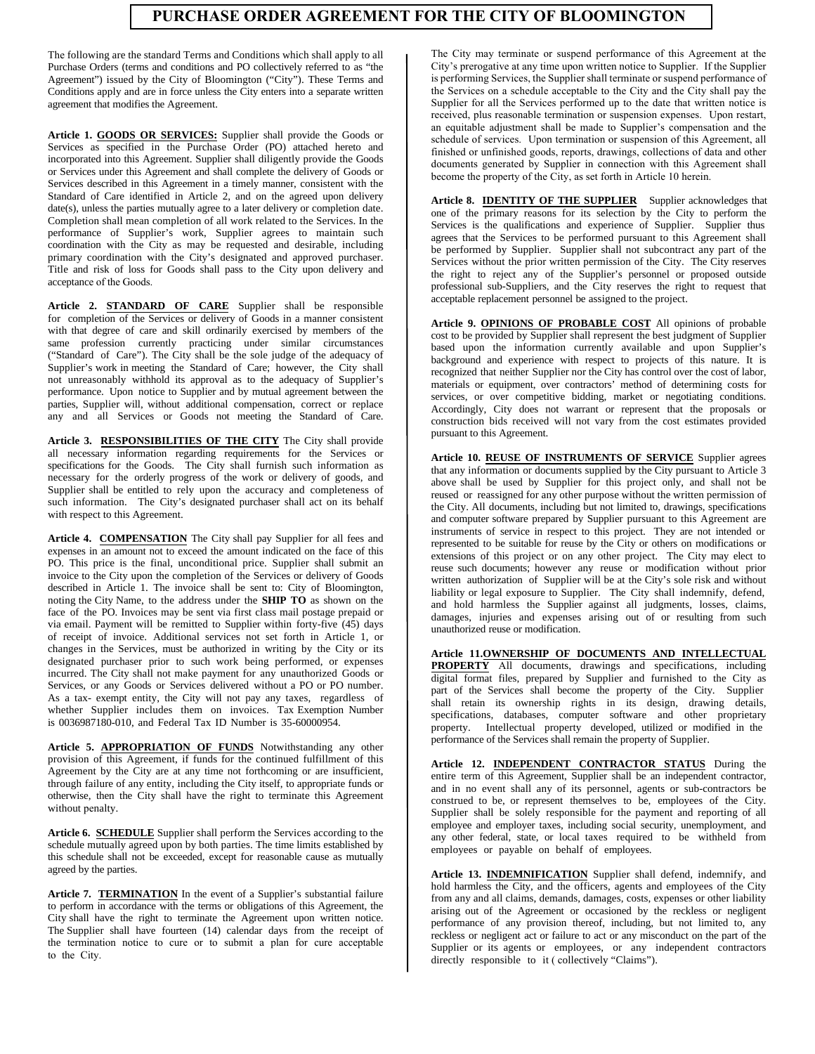## **PURCHASE ORDER AGREEMENT FOR THE CITY OF BLOOMINGTON**

The following are the standard Terms and Conditions which shall apply to all Purchase Orders (terms and conditions and PO collectively referred to as "the Agreement") issued by the City of Bloomington ("City"). These Terms and Conditions apply and are in force unless the City enters into a separate written agreement that modifies the Agreement.

**Article 1. GOODS OR SERVICES:** Supplier shall provide the Goods or Services as specified in the Purchase Order (PO) attached hereto and incorporated into this Agreement. Supplier shall diligently provide the Goods or Services under this Agreement and shall complete the delivery of Goods or Services described in this Agreement in a timely manner, consistent with the Standard of Care identified in Article 2, and on the agreed upon delivery date(s), unless the parties mutually agree to a later delivery or completion date. Completion shall mean completion of all work related to the Services. In the performance of Supplier's work, Supplier agrees to maintain such coordination with the City as may be requested and desirable, including primary coordination with the City's designated and approved purchaser. Title and risk of loss for Goods shall pass to the City upon delivery and acceptance of the Goods.

**Article 2. STANDARD OF CARE** Supplier shall be responsible for completion of the Services or delivery of Goods in a manner consistent with that degree of care and skill ordinarily exercised by members of the same profession currently practicing under similar circumstances ("Standard of Care"). The City shall be the sole judge of the adequacy of Supplier's work in meeting the Standard of Care; however, the City shall not unreasonably withhold its approval as to the adequacy of Supplier's performance. Upon notice to Supplier and by mutual agreement between the parties, Supplier will, without additional compensation, correct or replace any and all Services or Goods not meeting the Standard of Care.

**Article 3. RESPONSIBILITIES OF THE CITY** The City shall provide all necessary information regarding requirements for the Services or specifications for the Goods. The City shall furnish such information as necessary for the orderly progress of the work or delivery of goods, and Supplier shall be entitled to rely upon the accuracy and completeness of such information. The City's designated purchaser shall act on its behalf with respect to this Agreement.

**Article 4. COMPENSATION** The City shall pay Supplier for all fees and expenses in an amount not to exceed the amount indicated on the face of this PO. This price is the final, unconditional price. Supplier shall submit an invoice to the City upon the completion of the Services or delivery of Goods described in Article 1. The invoice shall be sent to: City of Bloomington, noting the City Name, to the address under the **SHIP TO** as shown on the face of the PO. Invoices may be sent via first class mail postage prepaid or via email. Payment will be remitted to Supplier within forty-five (45) days of receipt of invoice. Additional services not set forth in Article 1, or changes in the Services, must be authorized in writing by the City or its designated purchaser prior to such work being performed, or expenses incurred. The City shall not make payment for any unauthorized Goods or Services, or any Goods or Services delivered without a PO or PO number. As a tax- exempt entity, the City will not pay any taxes, regardless of whether Supplier includes them on invoices. Tax Exemption Number is 0036987180-010, and Federal Tax ID Number is 35-60000954.

**Article 5. APPROPRIATION OF FUNDS** Notwithstanding any other provision of this Agreement, if funds for the continued fulfillment of this Agreement by the City are at any time not forthcoming or are insufficient, through failure of any entity, including the City itself, to appropriate funds or otherwise, then the City shall have the right to terminate this Agreement without penalty.

**Article 6. SCHEDULE** Supplier shall perform the Services according to the schedule mutually agreed upon by both parties. The time limits established by this schedule shall not be exceeded, except for reasonable cause as mutually agreed by the parties.

Article 7. **TERMINATION** In the event of a Supplier's substantial failure to perform in accordance with the terms or obligations of this Agreement, the City shall have the right to terminate the Agreement upon written notice. The Supplier shall have fourteen (14) calendar days from the receipt of the termination notice to cure or to submit a plan for cure acceptable to the City.

The City may terminate or suspend performance of this Agreement at the City's prerogative at any time upon written notice to Supplier. If the Supplier is performing Services, the Supplier shall terminate or suspend performance of the Services on a schedule acceptable to the City and the City shall pay the Supplier for all the Services performed up to the date that written notice is received, plus reasonable termination or suspension expenses. Upon restart, an equitable adjustment shall be made to Supplier's compensation and the schedule of services. Upon termination or suspension of this Agreement, all finished or unfinished goods, reports, drawings, collections of data and other documents generated by Supplier in connection with this Agreement shall become the property of the City, as set forth in Article 10 herein.

**Article 8. IDENTITY OF THE SUPPLIER** Supplier acknowledges that one of the primary reasons for its selection by the City to perform the Services is the qualifications and experience of Supplier. Supplier thus agrees that the Services to be performed pursuant to this Agreement shall be performed by Supplier. Supplier shall not subcontract any part of the Services without the prior written permission of the City. The City reserves the right to reject any of the Supplier's personnel or proposed outside professional sub-Suppliers, and the City reserves the right to request that acceptable replacement personnel be assigned to the project.

**Article 9. OPINIONS OF PROBABLE COST** All opinions of probable cost to be provided by Supplier shall represent the best judgment of Supplier based upon the information currently available and upon Supplier's background and experience with respect to projects of this nature. It is recognized that neither Supplier nor the City has control over the cost of labor, materials or equipment, over contractors' method of determining costs for services, or over competitive bidding, market or negotiating conditions. Accordingly, City does not warrant or represent that the proposals or construction bids received will not vary from the cost estimates provided pursuant to this Agreement.

**Article 10. REUSE OF INSTRUMENTS OF SERVICE** Supplier agrees that any information or documents supplied by the City pursuant to Article 3 above shall be used by Supplier for this project only, and shall not be reused or reassigned for any other purpose without the written permission of the City. All documents, including but not limited to, drawings, specifications and computer software prepared by Supplier pursuant to this Agreement are instruments of service in respect to this project. They are not intended or represented to be suitable for reuse by the City or others on modifications or extensions of this project or on any other project. The City may elect to reuse such documents; however any reuse or modification without prior written authorization of Supplier will be at the City's sole risk and without liability or legal exposure to Supplier. The City shall indemnify, defend, and hold harmless the Supplier against all judgments, losses, claims, damages, injuries and expenses arising out of or resulting from such unauthorized reuse or modification.

**Article 11.OWNERSHIP OF DOCUMENTS AND INTELLECTUAL PROPERTY** All documents, drawings and specifications, including digital format files, prepared by Supplier and furnished to the City as part of the Services shall become the property of the City. Supplier shall retain its ownership rights in its design, drawing details, specifications, databases, computer software and other proprietary property. Intellectual property developed, utilized or modified in the performance of the Services shall remain the property of Supplier.

**Article 12. INDEPENDENT CONTRACTOR STATUS** During the entire term of this Agreement, Supplier shall be an independent contractor, and in no event shall any of its personnel, agents or sub-contractors be construed to be, or represent themselves to be, employees of the City. Supplier shall be solely responsible for the payment and reporting of all employee and employer taxes, including social security, unemployment, and any other federal, state, or local taxes required to be withheld from employees or payable on behalf of employees.

**Article 13. INDEMNIFICATION** Supplier shall defend, indemnify, and hold harmless the City, and the officers, agents and employees of the City from any and all claims, demands, damages, costs, expenses or other liability arising out of the Agreement or occasioned by the reckless or negligent performance of any provision thereof, including, but not limited to, any reckless or negligent act or failure to act or any misconduct on the part of the Supplier or its agents or employees, or any independent contractors directly responsible to it ( collectively "Claims").